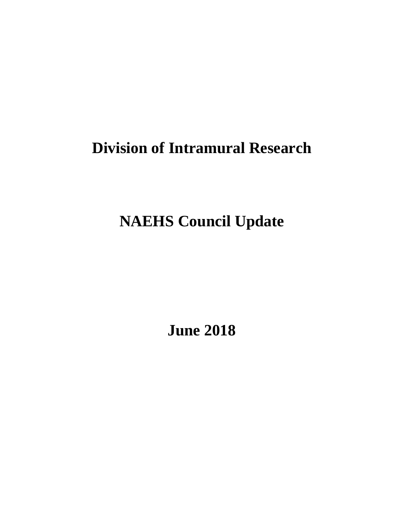# **Division of Intramural Research**

# **NAEHS Council Update**

**June 2018**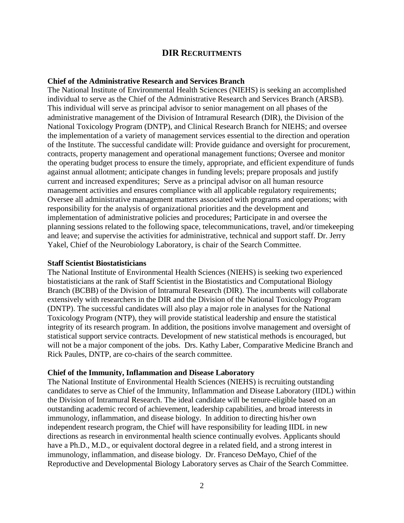## **DIR RECRUITMENTS**

## **Chief of the Administrative Research and Services Branch**

The National Institute of Environmental Health Sciences (NIEHS) is seeking an accomplished individual to serve as the Chief of the Administrative Research and Services Branch (ARSB). This individual will serve as principal advisor to senior management on all phases of the administrative management of the Division of Intramural Research (DIR), the Division of the National Toxicology Program (DNTP), and Clinical Research Branch for NIEHS; and oversee the implementation of a variety of management services essential to the direction and operation of the Institute. The successful candidate will: Provide guidance and oversight for procurement, contracts, property management and operational management functions; Oversee and monitor the operating budget process to ensure the timely, appropriate, and efficient expenditure of funds against annual allotment; anticipate changes in funding levels; prepare proposals and justify current and increased expenditures; Serve as a principal advisor on all human resource management activities and ensures compliance with all applicable regulatory requirements; Oversee all administrative management matters associated with programs and operations; with responsibility for the analysis of organizational priorities and the development and implementation of administrative policies and procedures; Participate in and oversee the planning sessions related to the following space, telecommunications, travel, and/or timekeeping and leave; and supervise the activities for administrative, technical and support staff. Dr. Jerry Yakel, Chief of the Neurobiology Laboratory, is chair of the Search Committee.

#### **Staff Scientist Biostatisticians**

The National Institute of Environmental Health Sciences (NIEHS) is seeking two experienced biostatisticians at the rank of Staff Scientist in the Biostatistics and Computational Biology Branch (BCBB) of the Division of Intramural Research (DIR). The incumbents will collaborate extensively with researchers in the DIR and the Division of the National Toxicology Program (DNTP). The successful candidates will also play a major role in analyses for the National Toxicology Program (NTP), they will provide statistical leadership and ensure the statistical integrity of its research program. In addition, the positions involve management and oversight of statistical support service contracts. Development of new statistical methods is encouraged, but will not be a major component of the jobs. Drs. Kathy Laber, Comparative Medicine Branch and Rick Paules, DNTP, are co-chairs of the search committee.

#### **Chief of the Immunity, Inflammation and Disease Laboratory**

The National Institute of Environmental Health Sciences (NIEHS) is recruiting outstanding candidates to serve as Chief of the Immunity, Inflammation and Disease Laboratory (IIDL) within the Division of Intramural Research. The ideal candidate will be tenure-eligible based on an outstanding academic record of achievement, leadership capabilities, and broad interests in immunology, inflammation, and disease biology. In addition to directing his/her own independent research program, the Chief will have responsibility for leading IIDL in new directions as research in environmental health science continually evolves. Applicants should have a Ph.D., M.D., or equivalent doctoral degree in a related field, and a strong interest in immunology, inflammation, and disease biology. Dr. Franceso DeMayo, Chief of the Reproductive and Developmental Biology Laboratory serves as Chair of the Search Committee.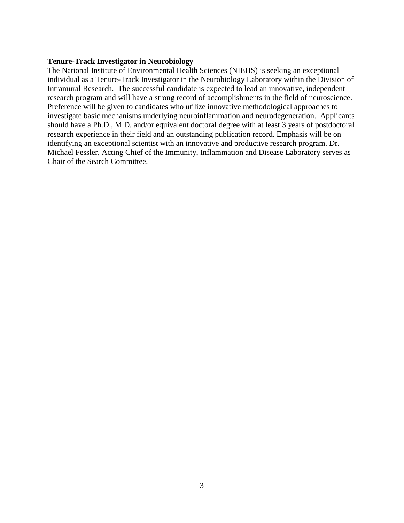## **Tenure-Track Investigator in Neurobiology**

The National Institute of Environmental Health Sciences (NIEHS) is seeking an exceptional individual as a Tenure-Track Investigator in the Neurobiology Laboratory within the Division of Intramural Research. The successful candidate is expected to lead an innovative, independent research program and will have a strong record of accomplishments in the field of neuroscience. Preference will be given to candidates who utilize innovative methodological approaches to investigate basic mechanisms underlying neuroinflammation and neurodegeneration. Applicants should have a Ph.D., M.D. and/or equivalent doctoral degree with at least 3 years of postdoctoral research experience in their field and an outstanding publication record. Emphasis will be on identifying an exceptional scientist with an innovative and productive research program. Dr. Michael Fessler, Acting Chief of the Immunity, Inflammation and Disease Laboratory serves as Chair of the Search Committee.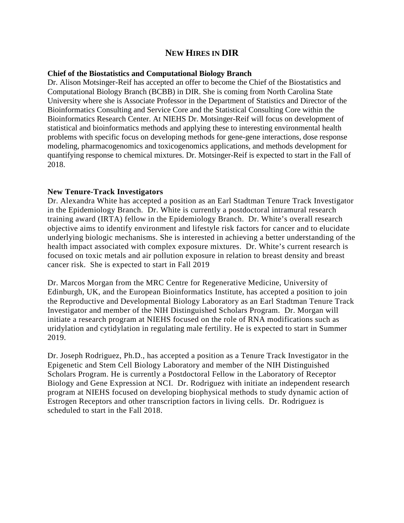# **NEW HIRES IN DIR**

## **Chief of the Biostatistics and Computational Biology Branch**

Dr. Alison Motsinger-Reif has accepted an offer to become the Chief of the Biostatistics and Computational Biology Branch (BCBB) in DIR. She is coming from North Carolina State University where she is Associate Professor in the Department of Statistics and Director of the Bioinformatics Consulting and Service Core and the Statistical Consulting Core within the Bioinformatics Research Center. At NIEHS Dr. Motsinger-Reif will focus on development of statistical and bioinformatics methods and applying these to interesting environmental health problems with specific focus on developing methods for gene-gene interactions, dose response modeling, pharmacogenomics and toxicogenomics applications, and methods development for quantifying response to chemical mixtures. Dr. Motsinger-Reif is expected to start in the Fall of 2018.

## **New Tenure-Track Investigators**

Dr. Alexandra White has accepted a position as an Earl Stadtman Tenure Track Investigator in the Epidemiology Branch. Dr. White is currently a postdoctoral intramural research training award (IRTA) fellow in the Epidemiology Branch. Dr. White's overall research objective aims to identify environment and lifestyle risk factors for cancer and to elucidate underlying biologic mechanisms. She is interested in achieving a better understanding of the health impact associated with complex exposure mixtures. Dr. White's current research is focused on toxic metals and air pollution exposure in relation to breast density and breast cancer risk. She is expected to start in Fall 2019

Dr. Marcos Morgan from the MRC Centre for Regenerative Medicine, University of Edinburgh, UK, and the European Bioinformatics Institute, has accepted a position to join the Reproductive and Developmental Biology Laboratory as an Earl Stadtman Tenure Track Investigator and member of the NIH Distinguished Scholars Program. Dr. Morgan will initiate a research program at NIEHS focused on the role of RNA modifications such as uridylation and cytidylation in regulating male fertility. He is expected to start in Summer 2019.

Dr. Joseph Rodriguez, Ph.D., has accepted a position as a Tenure Track Investigator in the Epigenetic and Stem Cell Biology Laboratory and member of the NIH Distinguished Scholars Program. He is currently a Postdoctoral Fellow in the Laboratory of Receptor Biology and Gene Expression at NCI. Dr. Rodriguez with initiate an independent research program at NIEHS focused on developing biophysical methods to study dynamic action of Estrogen Receptors and other transcription factors in living cells. Dr. Rodriguez is scheduled to start in the Fall 2018.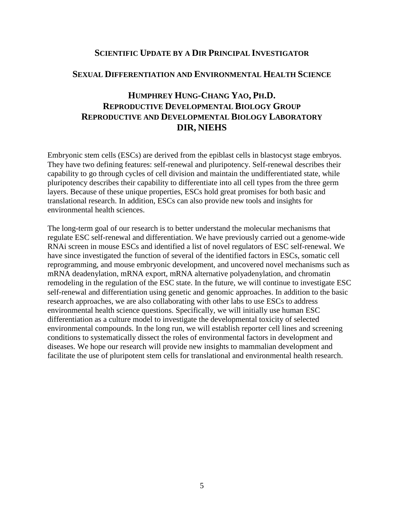# **SCIENTIFIC UPDATE BY A DIR PRINCIPAL INVESTIGATOR**

## **SEXUAL DIFFERENTIATION AND ENVIRONMENTAL HEALTH SCIENCE**

# **HUMPHREY HUNG-CHANG YAO, PH.D. REPRODUCTIVE DEVELOPMENTAL BIOLOGY GROUP REPRODUCTIVE AND DEVELOPMENTAL BIOLOGY LABORATORY DIR, NIEHS**

Embryonic stem cells (ESCs) are derived from the epiblast cells in blastocyst stage embryos. They have two defining features: self-renewal and pluripotency. Self-renewal describes their capability to go through cycles of cell division and maintain the undifferentiated state, while pluripotency describes their capability to differentiate into all cell types from the three germ layers. Because of these unique properties, ESCs hold great promises for both basic and translational research. In addition, ESCs can also provide new tools and insights for environmental health sciences.

The long-term goal of our research is to better understand the molecular mechanisms that regulate ESC self-renewal and differentiation. We have previously carried out a genome-wide RNAi screen in mouse ESCs and identified a list of novel regulators of ESC self-renewal. We have since investigated the function of several of the identified factors in ESCs, somatic cell reprogramming, and mouse embryonic development, and uncovered novel mechanisms such as mRNA deadenylation, mRNA export, mRNA alternative polyadenylation, and chromatin remodeling in the regulation of the ESC state. In the future, we will continue to investigate ESC self-renewal and differentiation using genetic and genomic approaches. In addition to the basic research approaches, we are also collaborating with other labs to use ESCs to address environmental health science questions. Specifically, we will initially use human ESC differentiation as a culture model to investigate the developmental toxicity of selected environmental compounds. In the long run, we will establish reporter cell lines and screening conditions to systematically dissect the roles of environmental factors in development and diseases. We hope our research will provide new insights to mammalian development and facilitate the use of pluripotent stem cells for translational and environmental health research.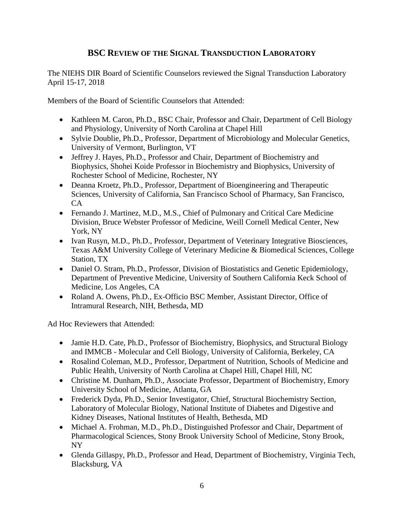# **BSC REVIEW OF THE SIGNAL TRANSDUCTION LABORATORY**

The NIEHS DIR Board of Scientific Counselors reviewed the Signal Transduction Laboratory April 15-17, 2018

Members of the Board of Scientific Counselors that Attended:

- Kathleen M. Caron, Ph.D., BSC Chair, Professor and Chair, Department of Cell Biology and Physiology, University of North Carolina at Chapel Hill
- Sylvie Doublie, Ph.D., Professor, Department of Microbiology and Molecular Genetics, University of Vermont, Burlington, VT
- Jeffrey J. Hayes, Ph.D., Professor and Chair, Department of Biochemistry and Biophysics, Shohei Koide Professor in Biochemistry and Biophysics, University of Rochester School of Medicine, Rochester, NY
- Deanna Kroetz, Ph.D., Professor, Department of Bioengineering and Therapeutic Sciences, University of California, San Francisco School of Pharmacy, San Francisco, CA
- Fernando J. Martinez, M.D., M.S., Chief of Pulmonary and Critical Care Medicine Division, Bruce Webster Professor of Medicine, Weill Cornell Medical Center, New York, NY
- Ivan Rusyn, M.D., Ph.D., Professor, Department of Veterinary Integrative Biosciences, Texas A&M University College of Veterinary Medicine & Biomedical Sciences, College Station, TX
- Daniel O. Stram, Ph.D., Professor, Division of Biostatistics and Genetic Epidemiology, Department of Preventive Medicine, University of Southern California Keck School of Medicine, Los Angeles, CA
- Roland A. Owens, Ph.D., Ex-Officio BSC Member, Assistant Director, Office of Intramural Research, NIH, Bethesda, MD

Ad Hoc Reviewers that Attended:

- Jamie H.D. Cate, Ph.D., Professor of Biochemistry, Biophysics, and Structural Biology and IMMCB - Molecular and Cell Biology, University of California, Berkeley, CA
- Rosalind Coleman, M.D., Professor, Department of Nutrition, Schools of Medicine and Public Health, University of North Carolina at Chapel Hill, Chapel Hill, NC
- Christine M. Dunham, Ph.D., Associate Professor, Department of Biochemistry, Emory University School of Medicine, Atlanta, GA
- Frederick Dyda, Ph.D., Senior Investigator, Chief, Structural Biochemistry Section, Laboratory of Molecular Biology, National Institute of Diabetes and Digestive and Kidney Diseases, National Institutes of Health, Bethesda, MD
- Michael A. Frohman, M.D., Ph.D., Distinguished Professor and Chair, Department of Pharmacological Sciences, Stony Brook University School of Medicine, Stony Brook, NY
- Glenda Gillaspy, Ph.D., Professor and Head, Department of Biochemistry, Virginia Tech, Blacksburg, VA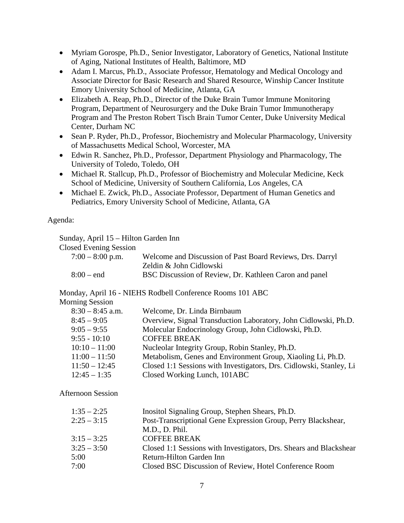- Myriam Gorospe, Ph.D., Senior Investigator, Laboratory of Genetics, National Institute of Aging, National Institutes of Health, Baltimore, MD
- Adam I. Marcus, Ph.D., Associate Professor, Hematology and Medical Oncology and Associate Director for Basic Research and Shared Resource, Winship Cancer Institute Emory University School of Medicine, Atlanta, GA
- Elizabeth A. Reap, Ph.D., Director of the Duke Brain Tumor Immune Monitoring Program, Department of Neurosurgery and the Duke Brain Tumor Immunotherapy Program and The Preston Robert Tisch Brain Tumor Center, Duke University Medical Center, Durham NC
- Sean P. Ryder, Ph.D., Professor, Biochemistry and Molecular Pharmacology, University of Massachusetts Medical School, Worcester, MA
- Edwin R. Sanchez, Ph.D., Professor, Department Physiology and Pharmacology, The University of Toledo, Toledo, OH
- Michael R. Stallcup, Ph.D., Professor of Biochemistry and Molecular Medicine, Keck School of Medicine, University of Southern California, Los Angeles, CA
- Michael E. Zwick, Ph.D., Associate Professor, Department of Human Genetics and Pediatrics, Emory University School of Medicine, Atlanta, GA

## Agenda:

| Sunday, April 15 – Hilton Garden Inn |                                                           |
|--------------------------------------|-----------------------------------------------------------|
| <b>Closed Evening Session</b>        |                                                           |
| $7:00 - 8:00$ p.m.                   | Welcome and Discussion of Past Board Reviews, Drs. Darryl |
|                                      | Zeldin & John Cidlowski                                   |
| $8:00 - end$                         | BSC Discussion of Review, Dr. Kathleen Caron and panel    |
|                                      |                                                           |

Monday, April 16 - NIEHS Rodbell Conference Rooms 101 ABC

## Morning Session

| $8:30 - 8:45$ a.m. | Welcome, Dr. Linda Birnbaum                                         |
|--------------------|---------------------------------------------------------------------|
| $8:45 - 9:05$      | Overview, Signal Transduction Laboratory, John Cidlowski, Ph.D.     |
| $9:05 - 9:55$      | Molecular Endocrinology Group, John Cidlowski, Ph.D.                |
| $9:55 - 10:10$     | <b>COFFEE BREAK</b>                                                 |
| $10:10 - 11:00$    | Nucleolar Integrity Group, Robin Stanley, Ph.D.                     |
| $11:00 - 11:50$    | Metabolism, Genes and Environment Group, Xiaoling Li, Ph.D.         |
| $11:50 - 12:45$    | Closed 1:1 Sessions with Investigators, Drs. Cidlowski, Stanley, Li |
| $12:45 - 1:35$     | Closed Working Lunch, 101ABC                                        |

Afternoon Session

| $1:35 - 2:25$ | Inositol Signaling Group, Stephen Shears, Ph.D.                    |
|---------------|--------------------------------------------------------------------|
| $2:25 - 3:15$ | Post-Transcriptional Gene Expression Group, Perry Blackshear,      |
|               | M.D., D. Phil.                                                     |
| $3:15 - 3:25$ | <b>COFFEE BREAK</b>                                                |
| $3:25 - 3:50$ | Closed 1:1 Sessions with Investigators, Drs. Shears and Blackshear |
| 5:00          | Return-Hilton Garden Inn                                           |
| 7:00          | Closed BSC Discussion of Review, Hotel Conference Room             |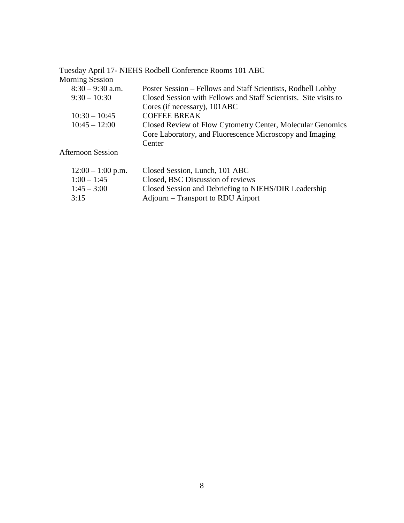| <b>Morning Session</b> |                                                                  |
|------------------------|------------------------------------------------------------------|
| $8:30 - 9:30$ a.m.     | Poster Session – Fellows and Staff Scientists, Rodbell Lobby     |
| $9:30 - 10:30$         | Closed Session with Fellows and Staff Scientists. Site visits to |
|                        | Cores (if necessary), 101ABC                                     |
| $10:30 - 10:45$        | <b>COFFEE BREAK</b>                                              |
| $10:45 - 12:00$        | Closed Review of Flow Cytometry Center, Molecular Genomics       |
|                        | Core Laboratory, and Fluorescence Microscopy and Imaging         |
|                        | Center                                                           |

| $12:00 - 1:00$ p.m. | Closed Session, Lunch, 101 ABC                        |
|---------------------|-------------------------------------------------------|
| $1:00 - 1:45$       | Closed, BSC Discussion of reviews                     |
| $1:45 - 3:00$       | Closed Session and Debriefing to NIEHS/DIR Leadership |
| 3:15                | Adjourn – Transport to RDU Airport                    |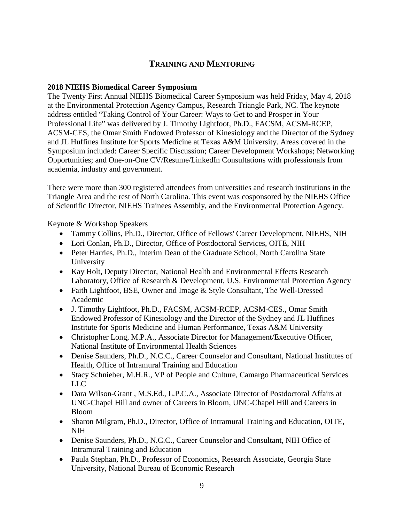# **TRAINING AND MENTORING**

## **2018 NIEHS Biomedical Career Symposium**

The Twenty First Annual NIEHS Biomedical Career Symposium was held Friday, May 4, 2018 at the Environmental Protection Agency Campus, Research Triangle Park, NC. The keynote address entitled "Taking Control of Your Career: Ways to Get to and Prosper in Your Professional Life" was delivered by J. Timothy Lightfoot, Ph.D., FACSM, ACSM-RCEP, ACSM-CES, the Omar Smith Endowed Professor of Kinesiology and the Director of the Sydney and JL Huffines Institute for Sports Medicine at Texas A&M University. Areas covered in the Symposium included: Career Specific Discussion; Career Development Workshops; Networking Opportunities; and One-on-One CV/Resume/LinkedIn Consultations with professionals from academia, industry and government.

There were more than 300 registered attendees from universities and research institutions in the Triangle Area and the rest of North Carolina. This event was cosponsored by the NIEHS Office of Scientific Director, NIEHS Trainees Assembly, and the Environmental Protection Agency.

Keynote & Workshop Speakers

- Tammy Collins, Ph.D., Director, Office of Fellows' Career Development, NIEHS, NIH
- Lori Conlan, Ph.D., Director, Office of Postdoctoral Services, OITE, NIH
- Peter Harries, Ph.D., Interim Dean of the Graduate School, North Carolina State University
- Kay Holt, Deputy Director, National Health and Environmental Effects Research Laboratory, Office of Research & Development, U.S. Environmental Protection Agency
- Faith Lightfoot, BSE, Owner and Image & Style Consultant, The Well-Dressed Academic
- J. Timothy Lightfoot, Ph.D., FACSM, ACSM-RCEP, ACSM-CES., Omar Smith Endowed Professor of Kinesiology and the Director of the Sydney and JL Huffines Institute for Sports Medicine and Human Performance, Texas A&M University
- Christopher Long, M.P.A., Associate Director for Management/Executive Officer, National Institute of Environmental Health Sciences
- Denise Saunders, Ph.D., N.C.C., Career Counselor and Consultant, National Institutes of Health, Office of Intramural Training and Education
- Stacy Schnieber, M.H.R., VP of People and Culture, Camargo Pharmaceutical Services LLC
- Dara Wilson-Grant , M.S.Ed., L.P.C.A., Associate Director of Postdoctoral Affairs at UNC-Chapel Hill and owner of Careers in Bloom, UNC-Chapel Hill and Careers in Bloom
- Sharon Milgram, Ph.D., Director, Office of Intramural Training and Education, OITE, NIH
- Denise Saunders, Ph.D., N.C.C., Career Counselor and Consultant, NIH Office of Intramural Training and Education
- Paula Stephan, Ph.D., Professor of Economics, Research Associate, Georgia State University, National Bureau of Economic Research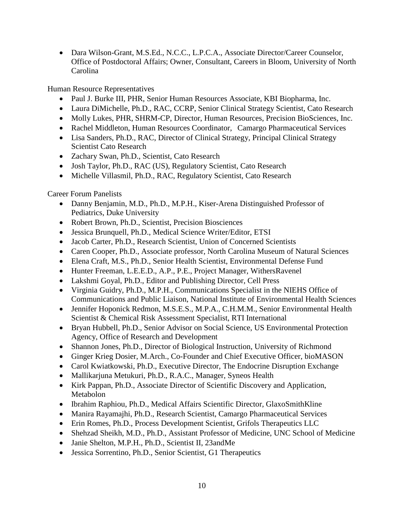• Dara Wilson-Grant, M.S.Ed., N.C.C., L.P.C.A., Associate Director/Career Counselor, Office of Postdoctoral Affairs; Owner, Consultant, Careers in Bloom, University of North Carolina

Human Resource Representatives

- Paul J. Burke III, PHR, Senior Human Resources Associate, KBI Biopharma, Inc.
- Laura DiMichelle, Ph.D., RAC, CCRP, Senior Clinical Strategy Scientist, Cato Research
- Molly Lukes, PHR, SHRM-CP, Director, Human Resources, Precision BioSciences, Inc.
- Rachel Middleton, Human Resources Coordinator, Camargo Pharmaceutical Services
- Lisa Sanders, Ph.D., RAC, Director of Clinical Strategy, Principal Clinical Strategy Scientist Cato Research
- Zachary Swan, Ph.D., Scientist, Cato Research
- Josh Taylor, Ph.D., RAC (US), Regulatory Scientist, Cato Research
- Michelle Villasmil, Ph.D., RAC, Regulatory Scientist, Cato Research

Career Forum Panelists

- Danny Benjamin, M.D., Ph.D., M.P.H., Kiser-Arena Distinguished Professor of Pediatrics, Duke University
- Robert Brown, Ph.D., Scientist, Precision Biosciences
- Jessica Brunquell, Ph.D., Medical Science Writer/Editor, ETSI
- Jacob Carter, Ph.D., Research Scientist, Union of Concerned Scientists
- Caren Cooper, Ph.D., Associate professor, North Carolina Museum of Natural Sciences
- Elena Craft, M.S., Ph.D., Senior Health Scientist, Environmental Defense Fund
- Hunter Freeman, L.E.E.D., A.P., P.E., Project Manager, WithersRavenel
- Lakshmi Goyal, Ph.D., Editor and Publishing Director, Cell Press
- Virginia Guidry, Ph.D., M.P.H., Communications Specialist in the NIEHS Office of Communications and Public Liaison, National Institute of Environmental Health Sciences
- Jennifer Hoponick Redmon, M.S.E.S., M.P.A., C.H.M.M., Senior Environmental Health Scientist & Chemical Risk Assessment Specialist, RTI International
- Bryan Hubbell, Ph.D., Senior Advisor on Social Science, US Environmental Protection Agency, Office of Research and Development
- Shannon Jones, Ph.D., Director of Biological Instruction, University of Richmond
- Ginger Krieg Dosier, M.Arch., Co-Founder and Chief Executive Officer, bioMASON
- Carol Kwiatkowski, Ph.D., Executive Director, The Endocrine Disruption Exchange
- Mallikarjuna Metukuri, Ph.D., R.A.C., Manager, Syneos Health
- Kirk Pappan, Ph.D., Associate Director of Scientific Discovery and Application, Metabolon
- Ibrahim Raphiou, Ph.D., Medical Affairs Scientific Director, GlaxoSmithKline
- Manira Rayamajhi, Ph.D., Research Scientist, Camargo Pharmaceutical Services
- Erin Romes, Ph.D., Process Development Scientist, Grifols Therapeutics LLC
- Shehzad Sheikh, M.D., Ph.D., Assistant Professor of Medicine, UNC School of Medicine
- Janie Shelton, M.P.H., Ph.D., Scientist II, 23andMe
- Jessica Sorrentino, Ph.D., Senior Scientist, G1 Therapeutics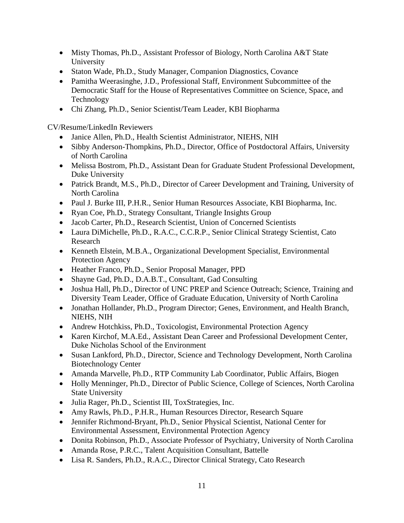- Misty Thomas, Ph.D., Assistant Professor of Biology, North Carolina A&T State University
- Staton Wade, Ph.D., Study Manager, Companion Diagnostics, Covance
- Pamitha Weerasinghe, J.D., Professional Staff, Environment Subcommittee of the Democratic Staff for the House of Representatives Committee on Science, Space, and Technology
- Chi Zhang, Ph.D., Senior Scientist/Team Leader, KBI Biopharma

CV/Resume/LinkedIn Reviewers

- Janice Allen, Ph.D., Health Scientist Administrator, NIEHS, NIH
- Sibby Anderson-Thompkins, Ph.D., Director, Office of Postdoctoral Affairs, University of North Carolina
- Melissa Bostrom, Ph.D., Assistant Dean for Graduate Student Professional Development, Duke University
- Patrick Brandt, M.S., Ph.D., Director of Career Development and Training, University of North Carolina
- Paul J. Burke III, P.H.R., Senior Human Resources Associate, KBI Biopharma, Inc.
- Ryan Coe, Ph.D., Strategy Consultant, Triangle Insights Group
- Jacob Carter, Ph.D., Research Scientist, Union of Concerned Scientists
- Laura DiMichelle, Ph.D., R.A.C., C.C.R.P., Senior Clinical Strategy Scientist, Cato Research
- Kenneth Elstein, M.B.A., Organizational Development Specialist, Environmental Protection Agency
- Heather Franco, Ph.D., Senior Proposal Manager, PPD
- Shayne Gad, Ph.D., D.A.B.T., Consultant, Gad Consulting
- Joshua Hall, Ph.D., Director of UNC PREP and Science Outreach: Science, Training and Diversity Team Leader, Office of Graduate Education, University of North Carolina
- Jonathan Hollander, Ph.D., Program Director; Genes, Environment, and Health Branch, NIEHS, NIH
- Andrew Hotchkiss, Ph.D., Toxicologist, Environmental Protection Agency
- Karen Kirchof, M.A.Ed., Assistant Dean Career and Professional Development Center, Duke Nicholas School of the Environment
- Susan Lankford, Ph.D., Director, Science and Technology Development, North Carolina Biotechnology Center
- Amanda Marvelle, Ph.D., RTP Community Lab Coordinator, Public Affairs, Biogen
- Holly Menninger, Ph.D., Director of Public Science, College of Sciences, North Carolina State University
- Julia Rager, Ph.D., Scientist III, ToxStrategies, Inc.
- Amy Rawls, Ph.D., P.H.R., Human Resources Director, Research Square
- Jennifer Richmond-Bryant, Ph.D., Senior Physical Scientist, National Center for Environmental Assessment, Environmental Protection Agency
- Donita Robinson, Ph.D., Associate Professor of Psychiatry, University of North Carolina
- Amanda Rose, P.R.C., Talent Acquisition Consultant, Battelle
- Lisa R. Sanders, Ph.D., R.A.C., Director Clinical Strategy, Cato Research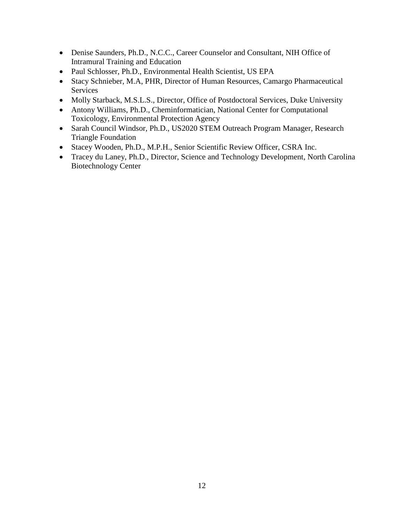- Denise Saunders, Ph.D., N.C.C., Career Counselor and Consultant, NIH Office of Intramural Training and Education
- Paul Schlosser, Ph.D., Environmental Health Scientist, US EPA
- Stacy Schnieber, M.A, PHR, Director of Human Resources, Camargo Pharmaceutical Services
- Molly Starback, M.S.L.S., Director, Office of Postdoctoral Services, Duke University
- Antony Williams, Ph.D., Cheminformatician, National Center for Computational Toxicology, Environmental Protection Agency
- Sarah Council Windsor, Ph.D., US2020 STEM Outreach Program Manager, Research Triangle Foundation
- Stacey Wooden, Ph.D., M.P.H., Senior Scientific Review Officer, CSRA Inc.
- Tracey du Laney, Ph.D., Director, Science and Technology Development, North Carolina Biotechnology Center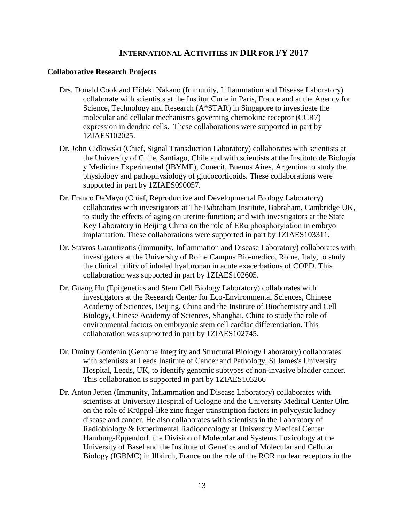## **INTERNATIONAL ACTIVITIES IN DIR FOR FY 2017**

### **Collaborative Research Projects**

- Drs. Donald Cook and Hideki Nakano (Immunity, Inflammation and Disease Laboratory) collaborate with scientists at the Institut Curie in Paris, France and at the Agency for Science, Technology and Research (A\*STAR) in Singapore to investigate the molecular and cellular mechanisms governing chemokine receptor (CCR7) expression in dendric cells. These collaborations were supported in part by 1ZIAES102025.
- Dr. John Cidlowski (Chief, Signal Transduction Laboratory) collaborates with scientists at the University of Chile, Santiago, Chile and with scientists at the Instituto de Biología y Medicina Experimental (IBYME), Conecit, Buenos Aires, Argentina to study the physiology and pathophysiology of glucocorticoids. These collaborations were supported in part by 1ZIAES090057.
- Dr. Franco DeMayo (Chief, Reproductive and Developmental Biology Laboratory) collaborates with investigators at The Babraham Institute, Babraham, Cambridge UK, to study the effects of aging on uterine function; and with investigators at the State Key Laboratory in Beijing China on the role of ERα phosphorylation in embryo implantation. These collaborations were supported in part by 1ZIAES103311.
- Dr. Stavros Garantizotis (Immunity, Inflammation and Disease Laboratory) collaborates with investigators at the University of Rome Campus Bio-medico, Rome, Italy, to study the clinical utility of inhaled hyaluronan in acute exacerbations of COPD. This collaboration was supported in part by 1ZIAES102605.
- Dr. Guang Hu (Epigenetics and Stem Cell Biology Laboratory) collaborates with investigators at the Research Center for Eco-Environmental Sciences, Chinese Academy of Sciences, Beijing, China and the Institute of Biochemistry and Cell Biology, Chinese Academy of Sciences, Shanghai, China to study the role of environmental factors on embryonic stem cell cardiac differentiation. This collaboration was supported in part by 1ZIAES102745.
- Dr. Dmitry Gordenin (Genome Integrity and Structural Biology Laboratory) collaborates with scientists at Leeds Institute of Cancer and Pathology, St James's University Hospital, Leeds, UK, to identify genomic subtypes of non-invasive bladder cancer. This collaboration is supported in part by 1ZIAES103266
- Dr. Anton Jetten (Immunity, Inflammation and Disease Laboratory) collaborates with scientists at University Hospital of Cologne and the University Medical Center Ulm on the role of Krüppel-like zinc finger transcription factors in polycystic kidney disease and cancer. He also collaborates with scientists in the Laboratory of Radiobiology & Experimental Radiooncology at University Medical Center Hamburg-Eppendorf, the Division of Molecular and Systems Toxicology at the University of Basel and the Institute of Genetics and of Molecular and Cellular Biology (IGBMC) in Illkirch, France on the role of the ROR nuclear receptors in the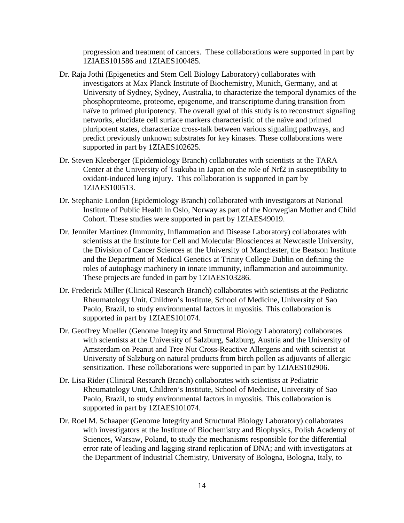progression and treatment of cancers. These collaborations were supported in part by 1ZIAES101586 and 1ZIAES100485.

- Dr. Raja Jothi (Epigenetics and Stem Cell Biology Laboratory) collaborates with investigators at Max Planck Institute of Biochemistry, Munich, Germany, and at University of Sydney, Sydney, Australia, to characterize the temporal dynamics of the phosphoproteome, proteome, epigenome, and transcriptome during transition from naïve to primed pluripotency. The overall goal of this study is to reconstruct signaling networks, elucidate cell surface markers characteristic of the naïve and primed pluripotent states, characterize cross-talk between various signaling pathways, and predict previously unknown substrates for key kinases. These collaborations were supported in part by 1ZIAES102625.
- Dr. Steven Kleeberger (Epidemiology Branch) collaborates with scientists at the TARA Center at the University of Tsukuba in Japan on the role of Nrf2 in susceptibility to oxidant-induced lung injury. This collaboration is supported in part by 1ZIAES100513.
- Dr. Stephanie London (Epidemiology Branch) collaborated with investigators at National Institute of Public Health in Oslo, Norway as part of the Norwegian Mother and Child Cohort. These studies were supported in part by 1ZIAES49019.
- Dr. Jennifer Martinez (Immunity, Inflammation and Disease Laboratory) collaborates with scientists at the Institute for Cell and Molecular Biosciences at Newcastle University, the Division of Cancer Sciences at the University of Manchester, the Beatson Institute and the Department of Medical Genetics at Trinity College Dublin on defining the roles of autophagy machinery in innate immunity, inflammation and autoimmunity. These projects are funded in part by 1ZIAES103286.
- Dr. Frederick Miller (Clinical Research Branch) collaborates with scientists at the Pediatric Rheumatology Unit, Children's Institute, School of Medicine, University of Sao Paolo, Brazil, to study environmental factors in myositis. This collaboration is supported in part by 1ZIAES101074.
- Dr. Geoffrey Mueller (Genome Integrity and Structural Biology Laboratory) collaborates with scientists at the University of Salzburg, Salzburg, Austria and the University of Amsterdam on Peanut and Tree Nut Cross-Reactive Allergens and with scientist at University of Salzburg on natural products from birch pollen as adjuvants of allergic sensitization. These collaborations were supported in part by 1ZIAES102906.
- Dr. Lisa Rider (Clinical Research Branch) collaborates with scientists at Pediatric Rheumatology Unit, Children's Institute, School of Medicine, University of Sao Paolo, Brazil, to study environmental factors in myositis. This collaboration is supported in part by 1ZIAES101074.
- Dr. Roel M. Schaaper (Genome Integrity and Structural Biology Laboratory) collaborates with investigators at the Institute of Biochemistry and Biophysics, Polish Academy of Sciences, Warsaw, Poland, to study the mechanisms responsible for the differential error rate of leading and lagging strand replication of DNA; and with investigators at the Department of Industrial Chemistry, University of Bologna, Bologna, Italy, to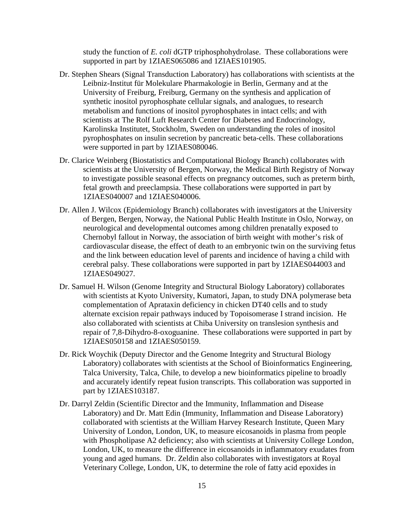study the function of *E. coli* dGTP triphosphohydrolase. These collaborations were supported in part by 1ZIAES065086 and 1ZIAES101905.

- Dr. Stephen Shears (Signal Transduction Laboratory) has collaborations with scientists at the Leibniz-Institut für Molekulare Pharmakologie in Berlin, Germany and at the University of Freiburg, Freiburg, Germany on the synthesis and application of synthetic inositol pyrophosphate cellular signals, and analogues, to research metabolism and functions of inositol pyrophosphates in intact cells; and with scientists at The Rolf Luft Research Center for Diabetes and Endocrinology, Karolinska Institutet, Stockholm, Sweden on understanding the roles of inositol pyrophosphates on insulin secretion by pancreatic beta-cells. These collaborations were supported in part by 1ZIAES080046.
- Dr. Clarice Weinberg (Biostatistics and Computational Biology Branch) collaborates with scientists at the University of Bergen, Norway, the Medical Birth Registry of Norway to investigate possible seasonal effects on pregnancy outcomes, such as preterm birth, fetal growth and preeclampsia. These collaborations were supported in part by 1ZIAES040007 and 1ZIAES040006.
- Dr. Allen J. Wilcox (Epidemiology Branch) collaborates with investigators at the University of Bergen, Bergen, Norway, the National Public Health Institute in Oslo, Norway, on neurological and developmental outcomes among children prenatally exposed to Chernobyl fallout in Norway, the association of birth weight with mother's risk of cardiovascular disease, the effect of death to an embryonic twin on the surviving fetus and the link between education level of parents and incidence of having a child with cerebral palsy. These collaborations were supported in part by 1ZIAES044003 and 1ZIAES049027.
- Dr. Samuel H. Wilson (Genome Integrity and Structural Biology Laboratory) collaborates with scientists at Kyoto University, Kumatori, Japan, to study DNA polymerase beta complementation of Aprataxin deficiency in chicken DT40 cells and to study alternate excision repair pathways induced by Topoisomerase I strand incision. He also collaborated with scientists at Chiba University on translesion synthesis and repair of 7,8-Dihydro-8-oxoguanine. These collaborations were supported in part by 1ZIAES050158 and 1ZIAES050159.
- Dr. Rick Woychik (Deputy Director and the Genome Integrity and Structural Biology Laboratory) collaborates with scientists at the School of Bioinformatics Engineering, Talca University, Talca, Chile, to develop a new bioinformatics pipeline to broadly and accurately identify repeat fusion transcripts. This collaboration was supported in part by 1ZIAES103187.
- Dr. Darryl Zeldin (Scientific Director and the Immunity, Inflammation and Disease Laboratory) and Dr. Matt Edin (Immunity, Inflammation and Disease Laboratory) collaborated with scientists at the William Harvey Research Institute, Queen Mary University of London, London, UK, to measure eicosanoids in plasma from people with Phospholipase A2 deficiency; also with scientists at University College London, London, UK, to measure the difference in eicosanoids in inflammatory exudates from young and aged humans. Dr. Zeldin also collaborates with investigators at Royal Veterinary College, London, UK, to determine the role of fatty acid epoxides in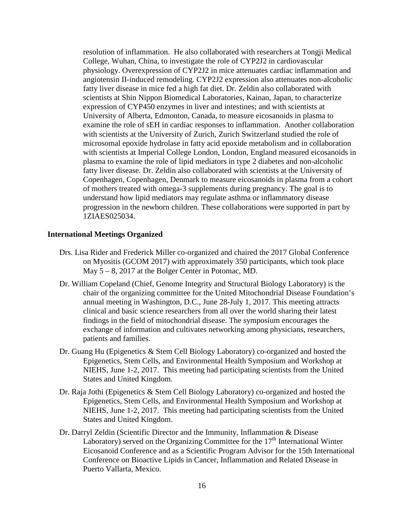resolution of inflammation. He also collaborated with researchers at Tongji Medical College, Wuhan, China, to investigate the role of CYP2J2 in cardiovascular physiology. Overexpression of CYP2J2 in mice attenuates cardiac inflammation and angiotensin II-induced remodeling. CYP2J2 expression also attenuates non-alcoholic fatty liver disease in mice fed a high fat diet. Dr. Zeldin also collaborated with scientists at Shin Nippon Biomedical Laboratories, Kainan, Japan, to characterize expression of CYP450 enzymes in liver and intestines; and with scientists at University of Alberta, Edmonton, Canada, to measure eicosanoids in plasma to examine the role of sEH in cardiac responses to inflammation. Another collaboration with scientists at the University of Zurich, Zurich Switzerland studied the role of microsomal epoxide hydrolase in fatty acid epoxide metabolism and in collaboration with scientists at Imperial College London, London, England measured eicosanoids in plasma to examine the role of lipid mediators in type 2 diabetes and non-alcoholic fatty liver disease. Dr. Zeldin also collaborated with scientists at the University of Copenhagen, Copenhagen, Denmark to measure eicosanoids in plasma from a cohort of mothers treated with omega-3 supplements during pregnancy. The goal is to understand how lipid mediators may regulate asthma or inflammatory disease progression in the newborn children. These collaborations were supported in part by 1ZIAES025034.

## **International Meetings Organized**

- Drs. Lisa Rider and Frederick Miller co-organized and chaired the 2017 Global Conference on Myositis (GCOM 2017) with approximately 350 participants, which took place May 5 – 8, 2017 at the Bolger Center in Potomac, MD.
- Dr. William Copeland (Chief, Genome Integrity and Structural Biology Laboratory) is the chair of the organizing committee for the United Mitochondrial Disease Foundation's annual meeting in Washington, D.C., June 28-July 1, 2017. This meeting attracts clinical and basic science researchers from all over the world sharing their latest findings in the field of mitochondrial disease. The symposium encourages the exchange of information and cultivates networking among physicians, researchers, patients and families.
- Dr. Guang Hu (Epigenetics & Stem Cell Biology Laboratory) co-organized and hosted the Epigenetics, Stem Cells, and Environmental Health Symposium and Workshop at NIEHS, June 1-2, 2017. This meeting had participating scientists from the United States and United Kingdom.
- Dr. Raja Jothi (Epigenetics & Stem Cell Biology Laboratory) co-organized and hosted the Epigenetics, Stem Cells, and Environmental Health Symposium and Workshop at NIEHS, June 1-2, 2017. This meeting had participating scientists from the United States and United Kingdom.
- Dr. Darryl Zeldin (Scientific Director and the Immunity, Inflammation & Disease Laboratory) served on the Organizing Committee for the  $17<sup>th</sup>$  International Winter Eicosanoid Conference and as a Scientific Program Advisor for the 15th International Conference on Bioactive Lipids in Cancer, Inflammation and Related Disease in Puerto Vallarta, Mexico.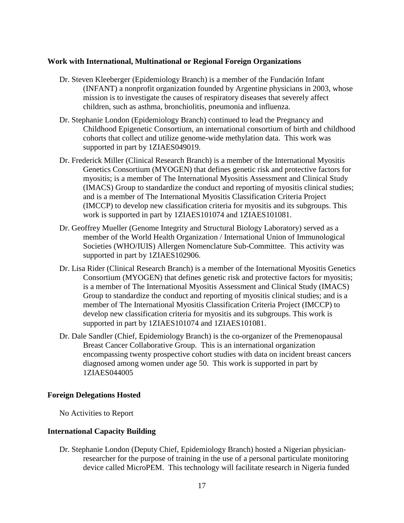## **Work with International, Multinational or Regional Foreign Organizations**

- Dr. Steven Kleeberger (Epidemiology Branch) is a member of the Fundación Infant (INFANT) a nonprofit organization founded by Argentine physicians in 2003, whose mission is to investigate the causes of respiratory diseases that severely affect children, such as asthma, bronchiolitis, pneumonia and influenza.
- Dr. Stephanie London (Epidemiology Branch) continued to lead the Pregnancy and Childhood Epigenetic Consortium, an international consortium of birth and childhood cohorts that collect and utilize genome-wide methylation data. This work was supported in part by 1ZIAES049019.
- Dr. Frederick Miller (Clinical Research Branch) is a member of the International Myositis Genetics Consortium (MYOGEN) that defines genetic risk and protective factors for myositis; is a member of The International Myositis Assessment and Clinical Study (IMACS) Group to standardize the conduct and reporting of myositis clinical studies; and is a member of The International Myositis Classification Criteria Project (IMCCP) to develop new classification criteria for myositis and its subgroups. This work is supported in part by 1ZIAES101074 and 1ZIAES101081.
- Dr. Geoffrey Mueller (Genome Integrity and Structural Biology Laboratory) served as a member of the World Health Organization / International Union of Immunological Societies (WHO/IUIS) Allergen Nomenclature Sub-Committee. This activity was supported in part by 1ZIAES102906.
- Dr. Lisa Rider (Clinical Research Branch) is a member of the International Myositis Genetics Consortium (MYOGEN) that defines genetic risk and protective factors for myositis; is a member of The International Myositis Assessment and Clinical Study (IMACS) Group to standardize the conduct and reporting of myositis clinical studies; and is a member of The International Myositis Classification Criteria Project (IMCCP) to develop new classification criteria for myositis and its subgroups. This work is supported in part by 1ZIAES101074 and 1ZIAES101081.
- Dr. Dale Sandler (Chief, Epidemiology Branch) is the co-organizer of the Premenopausal Breast Cancer Collaborative Group. This is an international organization encompassing twenty prospective cohort studies with data on incident breast cancers diagnosed among women under age 50. This work is supported in part by 1ZIAES044005

## **Foreign Delegations Hosted**

No Activities to Report

## **International Capacity Building**

Dr. Stephanie London (Deputy Chief, Epidemiology Branch) hosted a Nigerian physicianresearcher for the purpose of training in the use of a personal particulate monitoring device called MicroPEM. This technology will facilitate research in Nigeria funded